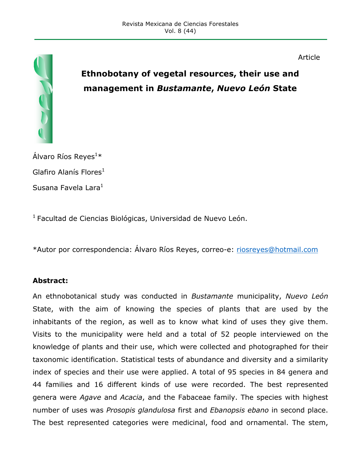

# **Ethnobotany of vegetal resources, their use and management in** *Bustamante***,** *Nuevo León* **State**

Article

Álvaro Ríos Reyes $^{1\ast}$ Glafiro Alanís Flores $<sup>1</sup>$ </sup> Susana Favela Lara $<sup>1</sup>$ </sup>

 $1$  Facultad de Ciencias Biológicas, Universidad de Nuevo León.

\*Autor por correspondencia: Álvaro Ríos Reyes, correo-e: riosreyes@hotmail.com

#### **Abstract:**

An ethnobotanical study was conducted in *Bustamante* municipality, *Nuevo León* State, with the aim of knowing the species of plants that are used by the inhabitants of the region, as well as to know what kind of uses they give them. Visits to the municipality were held and a total of 52 people interviewed on the knowledge of plants and their use, which were collected and photographed for their taxonomic identification. Statistical tests of abundance and diversity and a similarity index of species and their use were applied. A total of 95 species in 84 genera and 44 families and 16 different kinds of use were recorded. The best represented genera were *Agave* and *Acacia*, and the Fabaceae family. The species with highest number of uses was *Prosopis glandulosa* first and *Ebanopsis ebano* in second place. The best represented categories were medicinal, food and ornamental. The stem,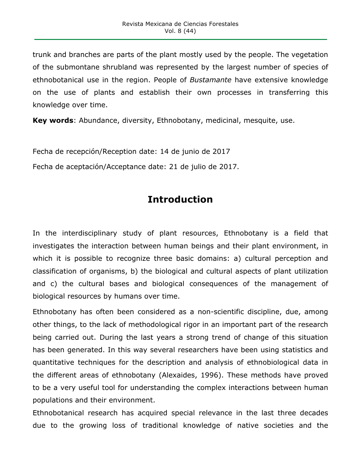trunk and branches are parts of the plant mostly used by the people. The vegetation of the submontane shrubland was represented by the largest number of species of ethnobotanical use in the region. People of *Bustamante* have extensive knowledge on the use of plants and establish their own processes in transferring this knowledge over time.

**Key words**: Abundance, diversity, Ethnobotany, medicinal, mesquite, use.

Fecha de recepción/Reception date: 14 de junio de 2017

Fecha de aceptación/Acceptance date: 21 de julio de 2017.

# **Introduction**

In the interdisciplinary study of plant resources, Ethnobotany is a field that investigates the interaction between human beings and their plant environment, in which it is possible to recognize three basic domains: a) cultural perception and classification of organisms, b) the biological and cultural aspects of plant utilization and c) the cultural bases and biological consequences of the management of biological resources by humans over time.

Ethnobotany has often been considered as a non-scientific discipline, due, among other things, to the lack of methodological rigor in an important part of the research being carried out. During the last years a strong trend of change of this situation has been generated. In this way several researchers have been using statistics and quantitative techniques for the description and analysis of ethnobiological data in the different areas of ethnobotany (Alexaides, 1996). These methods have proved to be a very useful tool for understanding the complex interactions between human populations and their environment.

Ethnobotanical research has acquired special relevance in the last three decades due to the growing loss of traditional knowledge of native societies and the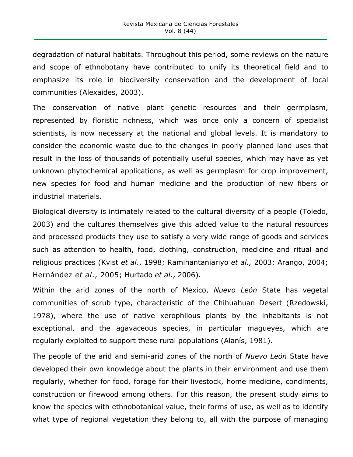degradation of natural habitats. Throughout this period, some reviews on the nature and scope of ethnobotany have contributed to unify its theoretical field and to emphasize its role in biodiversity conservation and the development of local communities (Alexaides, 2003).

The conservation of native plant genetic resources and their germplasm, represented by floristic richness, which was once only a concern of specialist scientists, is now necessary at the national and global levels. It is mandatory to consider the economic waste due to the changes in poorly planned land uses that result in the loss of thousands of potentially useful species, which may have as yet unknown phytochemical applications, as well as germplasm for crop improvement, new species for food and human medicine and the production of new fibers or industrial materials.

Biological diversity is intimately related to the cultural diversity of a people (Toledo, 2003) and the cultures themselves give this added value to the natural resources and processed products they use to satisfy a very wide range of goods and services such as attention to health, food, clothing, construction, medicine and ritual and religious practices (Kvist *et al*., 1998; Ramihantaniariyo *et al.,* 2003; Arango, 2004; Hernández *et al*., 2005; Hurtado *et al.*, 2006).

Within the arid zones of the north of Mexico, *Nuevo León* State has vegetal communities of scrub type, characteristic of the Chihuahuan Desert (Rzedowski, 1978), where the use of native xerophilous plants by the inhabitants is not exceptional, and the agavaceous species, in particular magueyes, which are regularly exploited to support these rural populations (Alanís, 1981).

The people of the arid and semi-arid zones of the north of *Nuevo León* State have developed their own knowledge about the plants in their environment and use them regularly, whether for food, forage for their livestock, home medicine, condiments, construction or firewood among others. For this reason, the present study aims to know the species with ethnobotanical value, their forms of use, as well as to identify what type of regional vegetation they belong to, all with the purpose of managing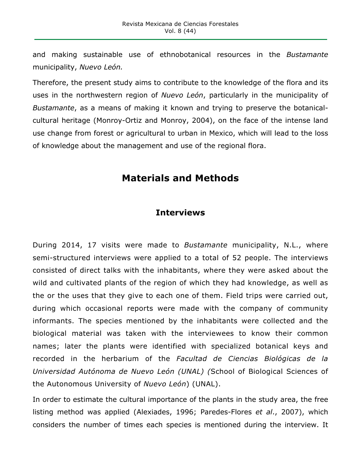and making sustainable use of ethnobotanical resources in the *Bustamante* municipality, *Nuevo León.*

Therefore, the present study aims to contribute to the knowledge of the flora and its uses in the northwestern region of *Nuevo León*, particularly in the municipality of *Bustamante*, as a means of making it known and trying to preserve the botanicalcultural heritage (Monroy-Ortiz and Monroy, 2004), on the face of the intense land use change from forest or agricultural to urban in Mexico, which will lead to the loss of knowledge about the management and use of the regional flora.

### **Materials and Methods**

#### **Interviews**

During 2014, 17 visits were made to *Bustamante* municipality, N.L., where semi-structured interviews were applied to a total of 52 people. The interviews consisted of direct talks with the inhabitants, where they were asked about the wild and cultivated plants of the region of which they had knowledge, as well as the or the uses that they give to each one of them. Field trips were carried out, during which occasional reports were made with the company of community informants. The species mentioned by the inhabitants were collected and the biological material was taken with the interviewees to know their common names; later the plants were identified with specialized botanical keys and recorded in the herbarium of the *Facultad de Ciencias Biológicas de la Universidad Autónoma de Nuevo León (UNAL) (*School of Biological Sciences of the Autonomous University of *Nuevo León*) (UNAL).

In order to estimate the cultural importance of the plants in the study area, the free listing method was applied (Alexiades, 1996; Paredes-Flores *et al*., 2007), which considers the number of times each species is mentioned during the interview. It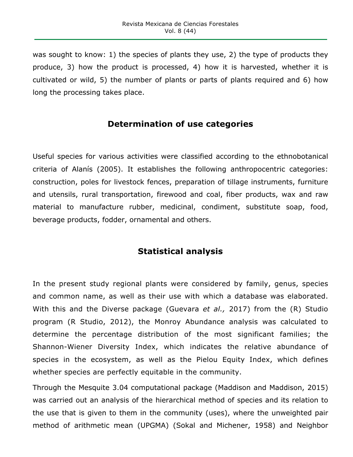was sought to know: 1) the species of plants they use, 2) the type of products they produce, 3) how the product is processed, 4) how it is harvested, whether it is cultivated or wild, 5) the number of plants or parts of plants required and 6) how long the processing takes place.

#### **Determination of use categories**

Useful species for various activities were classified according to the ethnobotanical criteria of Alanís (2005). It establishes the following anthropocentric categories: construction, poles for livestock fences, preparation of tillage instruments, furniture and utensils, rural transportation, firewood and coal, fiber products, wax and raw material to manufacture rubber, medicinal, condiment, substitute soap, food, beverage products, fodder, ornamental and others.

### **Statistical analysis**

In the present study regional plants were considered by family, genus, species and common name, as well as their use with which a database was elaborated. With this and the Diverse package (Guevara *et al.,* 2017) from the (R) Studio program (R Studio, 2012), the Monroy Abundance analysis was calculated to determine the percentage distribution of the most significant families; the Shannon-Wiener Diversity Index, which indicates the relative abundance of species in the ecosystem, as well as the Pielou Equity Index, which defines whether species are perfectly equitable in the community.

Through the Mesquite 3.04 computational package (Maddison and Maddison, 2015) was carried out an analysis of the hierarchical method of species and its relation to the use that is given to them in the community (uses), where the unweighted pair method of arithmetic mean (UPGMA) (Sokal and Michener, 1958) and Neighbor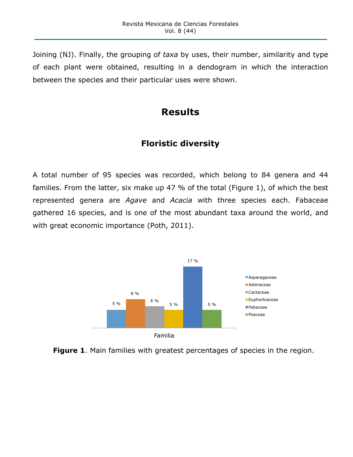Joining (NJ). Finally, the grouping of *taxa* by uses, their number, similarity and type of each plant were obtained, resulting in a dendogram in which the interaction between the species and their particular uses were shown.

# **Results**

### **Floristic diversity**

A total number of 95 species was recorded, which belong to 84 genera and 44 families. From the latter, six make up 47 % of the total (Figure 1), of which the best represented genera are *Agave* and *Acacia* with three species each. Fabaceae gathered 16 species, and is one of the most abundant taxa around the world, and with great economic importance (Poth, 2011).



**Figure 1**. Main families with greatest percentages of species in the region.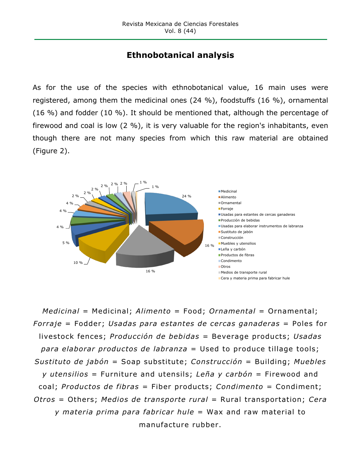## **Ethnobotanical analysis**

As for the use of the species with ethnobotanical value, 16 main uses were registered, among them the medicinal ones (24 %), foodstuffs (16 %), ornamental (16 %) and fodder (10 %). It should be mentioned that, although the percentage of firewood and coal is low (2 %), it is very valuable for the region's inhabitants, even though there are not many species from which this raw material are obtained (Figure 2).



*Medicinal* = Medicinal; *Alimento* = Food; *Ornamental* = Ornamental; *Forraje* = Fodder; *Usadas para estantes de cercas ganaderas* = Poles for livestock fences; *Producción de bebidas* = Beverage products; *Usadas para elaborar productos de labranza* = Used to produce tillage tools; *Sustituto de jabón* = Soap substitute; *Construcción* = Building; *Muebles y utensilios* = Furniture and utensils; *Leña y carbón* = Firewood and coal; *Productos de fibras* = Fiber products; *Condimento* = Condiment; *Otros* = Others; *Medios de transporte rural* = Rural transportation; *Cera y materia prima para fabricar hule* = Wax and raw material to manufacture rubber.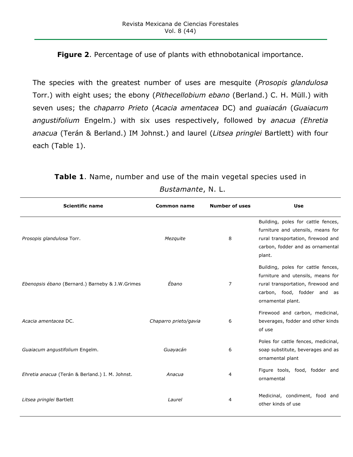#### **Figure 2**. Percentage of use of plants with ethnobotanical importance.

The species with the greatest number of uses are mesquite (*Prosopis glandulosa* Torr.) with eight uses; the ebony (*Pithecellobium ebano* (Berland.) C. H. Müll.) with seven uses; the *chaparro Prieto* (*Acacia amentacea* DC) and *guaiacán* (*Guaiacum angustifolium* Engelm.) with six uses respectively, followed by *anacua (Ehretia anacua* (Terán & Berland.) IM Johnst.) and laurel (*Litsea pringlei* Bartlett) with four each (Table 1).

| <b>Scientific name</b>                          | <b>Common name</b>    | <b>Number of uses</b> | <b>Use</b>                                                                                                                                                        |
|-------------------------------------------------|-----------------------|-----------------------|-------------------------------------------------------------------------------------------------------------------------------------------------------------------|
| Prosopis glandulosa Torr.                       | Mezquite              | 8                     | Building, poles for cattle fences,<br>furniture and utensils, means for<br>rural transportation, firewood and<br>carbon, fodder and as ornamental<br>plant.       |
| Ebenopsis ébano (Bernard.) Barneby & J.W.Grimes | Ébano                 | $\overline{7}$        | Building, poles for cattle fences,<br>furniture and utensils, means for<br>rural transportation, firewood and<br>carbon, food, fodder and as<br>ornamental plant. |
| Acacia amentacea DC.                            | Chaparro prieto/gavia | 6                     | Firewood and carbon, medicinal,<br>beverages, fodder and other kinds<br>of use                                                                                    |
| Guaiacum angustifolium Engelm.                  | Guayacán              | 6                     | Poles for cattle fences, medicinal,<br>soap substitute, beverages and as<br>ornamental plant                                                                      |
| Ehretia anacua (Terán & Berland.) I. M. Johnst. | Anacua                | 4                     | Figure tools, food, fodder and<br>ornamental                                                                                                                      |
| Litsea pringlei Bartlett                        | Laurel                | 4                     | Medicinal, condiment, food and<br>other kinds of use                                                                                                              |

**Table 1**. Name, number and use of the main vegetal species used in

| Bustamante, N. L. |  |  |
|-------------------|--|--|
|-------------------|--|--|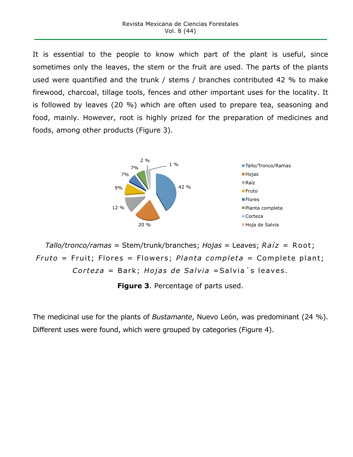It is essential to the people to know which part of the plant is useful, since sometimes only the leaves, the stem or the fruit are used. The parts of the plants used were quantified and the trunk / stems / branches contributed 42 % to make firewood, charcoal, tillage tools, fences and other important uses for the locality. It is followed by leaves (20 %) which are often used to prepare tea, seasoning and food, mainly. However, root is highly prized for the preparation of medicines and foods, among other products (Figure 3).



```
Tallo/tronco/ramas = Stem/trunk/branches; Hojas = Leaves; Raíz = Root; 
Fruto = Fruit; Flores = Flowers; Planta completa = Complete plant; 
        Corteza = Bark; Hojas de Salvia =Salvia´s leaves.
```
**Figure 3**. Percentage of parts used.

The medicinal use for the plants of *Bustamante*, Nuevo León, was predominant (24 %). Different uses were found, which were grouped by categories (Figure 4).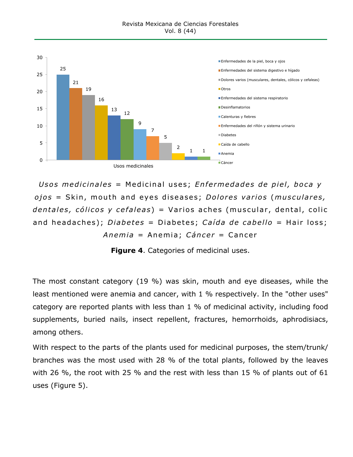

*Usos medicinales* = Medicinal uses; *Enfermedades de piel, boca y ojos* = Skin, mouth and eyes diseases; *Dolores varios* (*musculares, dentales, cólicos y cefaleas*) = Varios aches (muscular, dental, colic and headaches); *Diabetes* = Diabetes; *Caída de cabello* = Hair loss; *Anemia* = Anemia; *Cáncer* = Cancer

**Figure 4**. Categories of medicinal uses.

The most constant category (19 %) was skin, mouth and eye diseases, while the least mentioned were anemia and cancer, with 1 % respectively. In the "other uses" category are reported plants with less than 1 % of medicinal activity, including food supplements, buried nails, insect repellent, fractures, hemorrhoids, aphrodisiacs, among others.

With respect to the parts of the plants used for medicinal purposes, the stem/trunk/ branches was the most used with 28 % of the total plants, followed by the leaves with 26 %, the root with 25 % and the rest with less than 15 % of plants out of 61 uses (Figure 5).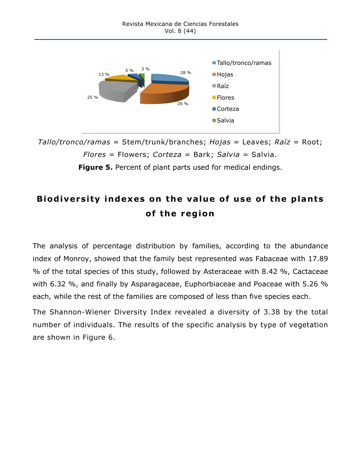

*Tallo/tronco/ramas* = Stem/trunk/branches; *Hojas* = Leaves; *Raíz* = Root; *Flores* = Flowers; *Corteza* = Bark; *Salvia* = Salvia.

**Figure 5.** Percent of plant parts used for medical endings.

# **Biodiversity indexes on the value of use of the plants of the region**

The analysis of percentage distribution by families, according to the abundance index of Monroy, showed that the family best represented was Fabaceae with 17.89 % of the total species of this study, followed by Asteraceae with 8.42 %, Cactaceae with 6.32 %, and finally by Asparagaceae, Euphorbiaceae and Poaceae with 5.26 % each, while the rest of the families are composed of less than five species each.

The Shannon-Wiener Diversity Index revealed a diversity of 3.38 by the total number of individuals. The results of the specific analysis by type of vegetation are shown in Figure 6.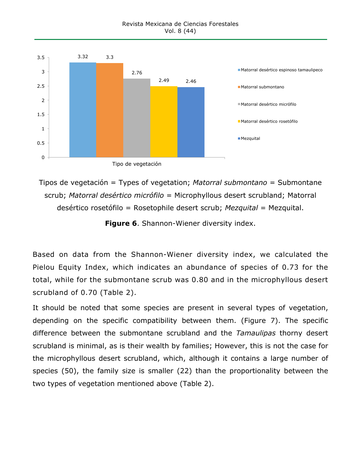

Tipos de vegetación = Types of vegetation; *Matorral submontano* = Submontane scrub; *Matorral desértico micrófilo* = Microphyllous desert scrubland; Matorral desértico rosetófilo = Rosetophile desert scrub; *Mezquital* = Mezquital.

**Figure 6**. Shannon-Wiener diversity index.

Based on data from the Shannon-Wiener diversity index, we calculated the Pielou Equity Index, which indicates an abundance of species of 0.73 for the total, while for the submontane scrub was 0.80 and in the microphyllous desert scrubland of 0.70 (Table 2).

It should be noted that some species are present in several types of vegetation, depending on the specific compatibility between them. (Figure 7). The specific difference between the submontane scrubland and the *Tamaulipas* thorny desert scrubland is minimal, as is their wealth by families; However, this is not the case for the microphyllous desert scrubland, which, although it contains a large number of species (50), the family size is smaller (22) than the proportionality between the two types of vegetation mentioned above (Table 2).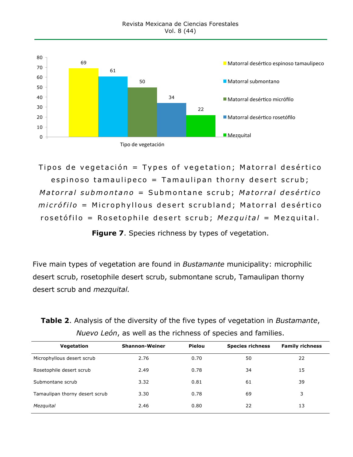

Tipos de vegetación = Types of vegetation; Matorral desértico espinoso tamaulipeco = Tamaulipan thorny desert scrub; *Matorral submontano* = Submontane scrub; *Matorral desértico m i crófilo* = Microphyllous desert scrubland; Matorral desértico rosetófilo = Rosetophile desert scrub; *Mezquital* = Mezquital.

**Figure 7**. Species richness by types of vegetation.

Five main types of vegetation are found in *Bustamante* municipality: microphilic desert scrub, rosetophile desert scrub, submontane scrub, Tamaulipan thorny desert scrub and *mezquital.*

**Table 2**. Analysis of the diversity of the five types of vegetation in *Bustamante*, *Nuevo León*, as well as the richness of species and families.

| Vegetation                     | <b>Shannon-Weiner</b> | Pielou | <b>Species richness</b> | <b>Family richness</b> |
|--------------------------------|-----------------------|--------|-------------------------|------------------------|
| Microphyllous desert scrub     | 2.76                  | 0.70   | 50                      | 22                     |
| Rosetophile desert scrub       | 2.49                  | 0.78   | 34                      | 15                     |
| Submontane scrub               | 3.32                  | 0.81   | 61                      | 39                     |
| Tamaulipan thorny desert scrub | 3.30                  | 0.78   | 69                      | 3                      |
| Mezquital                      | 2.46                  | 0.80   | 22                      | 13                     |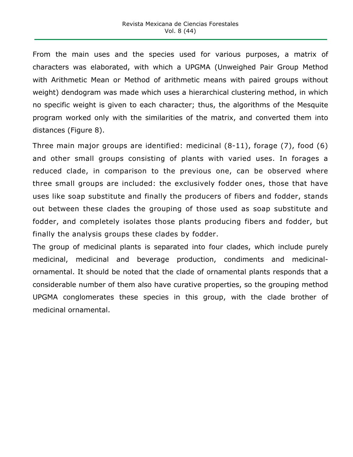From the main uses and the species used for various purposes, a matrix of characters was elaborated, with which a UPGMA (Unweighed Pair Group Method with Arithmetic Mean or Method of arithmetic means with paired groups without weight) dendogram was made which uses a hierarchical clustering method, in which no specific weight is given to each character; thus, the algorithms of the Mesquite program worked only with the similarities of the matrix, and converted them into distances (Figure 8).

Three main major groups are identified: medicinal (8-11), forage (7), food (6) and other small groups consisting of plants with varied uses. In forages a reduced clade, in comparison to the previous one, can be observed where three small groups are included: the exclusively fodder ones, those that have uses like soap substitute and finally the producers of fibers and fodder, stands out between these clades the grouping of those used as soap substitute and fodder, and completely isolates those plants producing fibers and fodder, but finally the analysis groups these clades by fodder.

The group of medicinal plants is separated into four clades, which include purely medicinal, medicinal and beverage production, condiments and medicinalornamental. It should be noted that the clade of ornamental plants responds that a considerable number of them also have curative properties, so the grouping method UPGMA conglomerates these species in this group, with the clade brother of medicinal ornamental.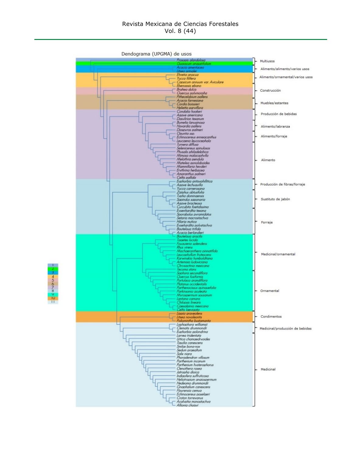Dendograma (UPGMA) de usos

| Acacia amentacea<br>Alimento/alimento/varios usos<br>Itsea prinalei<br>Ehretia anacua<br>Alimento/ornamental/varios usos<br><b>Yucca filifera</b><br>Capsicum annuum var. Aviculare<br>Ebenopsis ebano<br><b>Brahea</b> dulcis<br>Construcción<br>Overcus polymorpha<br>Pithecelobium pallens<br>Acacia farnesiana<br>Muebles/estantes<br>Cordia boissieri<br>Helietta parviflora<br>Condalia hookeri<br>Producción de bebidas<br>Agave americana<br>Dasylirion texanum<br>Bumelia lanuainosa<br>Havardia pallens<br>Alimento/labranza<br>Diospyros palmeri<br>Opuntia ssp.<br>Alimento/forraje<br>Echinocereus enneacanthus<br>Leucaena leucocephala<br>Turnera diffusa<br>Selenicereus spinulosos<br>Physalis philadelphica<br>Mimosa malacophylla<br>Melothria pendula<br>Alimento<br>Matelea aonoloboides<br>Mammillaria heyderi<br>Ervthring herbacea<br>Amaranthus palmeri<br>Celtis pallida<br>Euphorbia antisyphillitica<br>Producción de fibras/forraje<br>Agave lechuavilla<br>Yucca carnerosana<br>Ziziphus obtusifolia<br>Typha dominaensis<br>Sustituto de jabón<br>Sapindus saponaria<br>Agave bracteosa<br>Curcubita foetidissima<br>Evsenhardtia texana<br>Sporobolus pyramidatus<br>Setaria macrostachya<br>Hilaria mutica<br>Forraje<br>Evsehardita polystachya<br><b>Bouteloua trifida</b><br>Acacia berlandieri<br>Bouteloua aracilis<br>Tagetes lucida<br>Fouauieria spiendens<br>Rhus virens<br>Machaeranthera pinnatifida<br>Medicinal/ornamental<br>Leucaphyllum frutescens<br>Karwinskia humboldtiana<br>Artemisia ludoviciana<br>Chrysactinia mexicana<br>Tecoma stans<br>Sophora secundiflora<br><b>Overcus</b> fusiformis<br>Portulaca arandiflora.<br>Platanus occidentalis<br>Parthenocissus auinauefolia<br>Ornamental<br>Parkinsonia aculeata<br>Myrospermum sousanum<br>Lantana camara<br>Chilopsis linearis<br>Caesalpinia mexicana<br>Celtis laeviaata<br>Lippia araveolens<br>Litsea novoleontis<br>Condimentos<br>Poliomintha bustamanta<br>Lophophora williamsii<br>Clematis drummondii<br>Medicinal/producción de bebidas<br>Euphorbia aolondrina<br>Larrea tridentata<br>Urtica chamaedrvoides<br>Tiauilia canescens<br>Smilax bona-nox<br>Sedum praealtum | Prosopis alandulosa<br><b><i>RADIOCUM CINOUS</i></b> | Multiusos |
|----------------------------------------------------------------------------------------------------------------------------------------------------------------------------------------------------------------------------------------------------------------------------------------------------------------------------------------------------------------------------------------------------------------------------------------------------------------------------------------------------------------------------------------------------------------------------------------------------------------------------------------------------------------------------------------------------------------------------------------------------------------------------------------------------------------------------------------------------------------------------------------------------------------------------------------------------------------------------------------------------------------------------------------------------------------------------------------------------------------------------------------------------------------------------------------------------------------------------------------------------------------------------------------------------------------------------------------------------------------------------------------------------------------------------------------------------------------------------------------------------------------------------------------------------------------------------------------------------------------------------------------------------------------------------------------------------------------------------------------------------------------------------------------------------------------------------------------------------------------------------------------------------------------------------------------------------------------------------------------------------------------------------------------------------------------------------------------------------------------------------------------------------------------------------------------------------|------------------------------------------------------|-----------|
|                                                                                                                                                                                                                                                                                                                                                                                                                                                                                                                                                                                                                                                                                                                                                                                                                                                                                                                                                                                                                                                                                                                                                                                                                                                                                                                                                                                                                                                                                                                                                                                                                                                                                                                                                                                                                                                                                                                                                                                                                                                                                                                                                                                                    |                                                      |           |
|                                                                                                                                                                                                                                                                                                                                                                                                                                                                                                                                                                                                                                                                                                                                                                                                                                                                                                                                                                                                                                                                                                                                                                                                                                                                                                                                                                                                                                                                                                                                                                                                                                                                                                                                                                                                                                                                                                                                                                                                                                                                                                                                                                                                    |                                                      |           |
|                                                                                                                                                                                                                                                                                                                                                                                                                                                                                                                                                                                                                                                                                                                                                                                                                                                                                                                                                                                                                                                                                                                                                                                                                                                                                                                                                                                                                                                                                                                                                                                                                                                                                                                                                                                                                                                                                                                                                                                                                                                                                                                                                                                                    |                                                      |           |
|                                                                                                                                                                                                                                                                                                                                                                                                                                                                                                                                                                                                                                                                                                                                                                                                                                                                                                                                                                                                                                                                                                                                                                                                                                                                                                                                                                                                                                                                                                                                                                                                                                                                                                                                                                                                                                                                                                                                                                                                                                                                                                                                                                                                    |                                                      |           |
|                                                                                                                                                                                                                                                                                                                                                                                                                                                                                                                                                                                                                                                                                                                                                                                                                                                                                                                                                                                                                                                                                                                                                                                                                                                                                                                                                                                                                                                                                                                                                                                                                                                                                                                                                                                                                                                                                                                                                                                                                                                                                                                                                                                                    |                                                      |           |
|                                                                                                                                                                                                                                                                                                                                                                                                                                                                                                                                                                                                                                                                                                                                                                                                                                                                                                                                                                                                                                                                                                                                                                                                                                                                                                                                                                                                                                                                                                                                                                                                                                                                                                                                                                                                                                                                                                                                                                                                                                                                                                                                                                                                    |                                                      |           |
|                                                                                                                                                                                                                                                                                                                                                                                                                                                                                                                                                                                                                                                                                                                                                                                                                                                                                                                                                                                                                                                                                                                                                                                                                                                                                                                                                                                                                                                                                                                                                                                                                                                                                                                                                                                                                                                                                                                                                                                                                                                                                                                                                                                                    |                                                      |           |
|                                                                                                                                                                                                                                                                                                                                                                                                                                                                                                                                                                                                                                                                                                                                                                                                                                                                                                                                                                                                                                                                                                                                                                                                                                                                                                                                                                                                                                                                                                                                                                                                                                                                                                                                                                                                                                                                                                                                                                                                                                                                                                                                                                                                    |                                                      |           |
|                                                                                                                                                                                                                                                                                                                                                                                                                                                                                                                                                                                                                                                                                                                                                                                                                                                                                                                                                                                                                                                                                                                                                                                                                                                                                                                                                                                                                                                                                                                                                                                                                                                                                                                                                                                                                                                                                                                                                                                                                                                                                                                                                                                                    |                                                      |           |
|                                                                                                                                                                                                                                                                                                                                                                                                                                                                                                                                                                                                                                                                                                                                                                                                                                                                                                                                                                                                                                                                                                                                                                                                                                                                                                                                                                                                                                                                                                                                                                                                                                                                                                                                                                                                                                                                                                                                                                                                                                                                                                                                                                                                    |                                                      |           |
|                                                                                                                                                                                                                                                                                                                                                                                                                                                                                                                                                                                                                                                                                                                                                                                                                                                                                                                                                                                                                                                                                                                                                                                                                                                                                                                                                                                                                                                                                                                                                                                                                                                                                                                                                                                                                                                                                                                                                                                                                                                                                                                                                                                                    |                                                      |           |
|                                                                                                                                                                                                                                                                                                                                                                                                                                                                                                                                                                                                                                                                                                                                                                                                                                                                                                                                                                                                                                                                                                                                                                                                                                                                                                                                                                                                                                                                                                                                                                                                                                                                                                                                                                                                                                                                                                                                                                                                                                                                                                                                                                                                    |                                                      |           |
|                                                                                                                                                                                                                                                                                                                                                                                                                                                                                                                                                                                                                                                                                                                                                                                                                                                                                                                                                                                                                                                                                                                                                                                                                                                                                                                                                                                                                                                                                                                                                                                                                                                                                                                                                                                                                                                                                                                                                                                                                                                                                                                                                                                                    |                                                      |           |
|                                                                                                                                                                                                                                                                                                                                                                                                                                                                                                                                                                                                                                                                                                                                                                                                                                                                                                                                                                                                                                                                                                                                                                                                                                                                                                                                                                                                                                                                                                                                                                                                                                                                                                                                                                                                                                                                                                                                                                                                                                                                                                                                                                                                    |                                                      |           |
|                                                                                                                                                                                                                                                                                                                                                                                                                                                                                                                                                                                                                                                                                                                                                                                                                                                                                                                                                                                                                                                                                                                                                                                                                                                                                                                                                                                                                                                                                                                                                                                                                                                                                                                                                                                                                                                                                                                                                                                                                                                                                                                                                                                                    |                                                      |           |
|                                                                                                                                                                                                                                                                                                                                                                                                                                                                                                                                                                                                                                                                                                                                                                                                                                                                                                                                                                                                                                                                                                                                                                                                                                                                                                                                                                                                                                                                                                                                                                                                                                                                                                                                                                                                                                                                                                                                                                                                                                                                                                                                                                                                    |                                                      |           |
|                                                                                                                                                                                                                                                                                                                                                                                                                                                                                                                                                                                                                                                                                                                                                                                                                                                                                                                                                                                                                                                                                                                                                                                                                                                                                                                                                                                                                                                                                                                                                                                                                                                                                                                                                                                                                                                                                                                                                                                                                                                                                                                                                                                                    |                                                      |           |
|                                                                                                                                                                                                                                                                                                                                                                                                                                                                                                                                                                                                                                                                                                                                                                                                                                                                                                                                                                                                                                                                                                                                                                                                                                                                                                                                                                                                                                                                                                                                                                                                                                                                                                                                                                                                                                                                                                                                                                                                                                                                                                                                                                                                    |                                                      |           |
|                                                                                                                                                                                                                                                                                                                                                                                                                                                                                                                                                                                                                                                                                                                                                                                                                                                                                                                                                                                                                                                                                                                                                                                                                                                                                                                                                                                                                                                                                                                                                                                                                                                                                                                                                                                                                                                                                                                                                                                                                                                                                                                                                                                                    |                                                      |           |
|                                                                                                                                                                                                                                                                                                                                                                                                                                                                                                                                                                                                                                                                                                                                                                                                                                                                                                                                                                                                                                                                                                                                                                                                                                                                                                                                                                                                                                                                                                                                                                                                                                                                                                                                                                                                                                                                                                                                                                                                                                                                                                                                                                                                    |                                                      |           |
|                                                                                                                                                                                                                                                                                                                                                                                                                                                                                                                                                                                                                                                                                                                                                                                                                                                                                                                                                                                                                                                                                                                                                                                                                                                                                                                                                                                                                                                                                                                                                                                                                                                                                                                                                                                                                                                                                                                                                                                                                                                                                                                                                                                                    |                                                      |           |
|                                                                                                                                                                                                                                                                                                                                                                                                                                                                                                                                                                                                                                                                                                                                                                                                                                                                                                                                                                                                                                                                                                                                                                                                                                                                                                                                                                                                                                                                                                                                                                                                                                                                                                                                                                                                                                                                                                                                                                                                                                                                                                                                                                                                    |                                                      |           |
|                                                                                                                                                                                                                                                                                                                                                                                                                                                                                                                                                                                                                                                                                                                                                                                                                                                                                                                                                                                                                                                                                                                                                                                                                                                                                                                                                                                                                                                                                                                                                                                                                                                                                                                                                                                                                                                                                                                                                                                                                                                                                                                                                                                                    |                                                      |           |
|                                                                                                                                                                                                                                                                                                                                                                                                                                                                                                                                                                                                                                                                                                                                                                                                                                                                                                                                                                                                                                                                                                                                                                                                                                                                                                                                                                                                                                                                                                                                                                                                                                                                                                                                                                                                                                                                                                                                                                                                                                                                                                                                                                                                    |                                                      |           |
|                                                                                                                                                                                                                                                                                                                                                                                                                                                                                                                                                                                                                                                                                                                                                                                                                                                                                                                                                                                                                                                                                                                                                                                                                                                                                                                                                                                                                                                                                                                                                                                                                                                                                                                                                                                                                                                                                                                                                                                                                                                                                                                                                                                                    |                                                      |           |
|                                                                                                                                                                                                                                                                                                                                                                                                                                                                                                                                                                                                                                                                                                                                                                                                                                                                                                                                                                                                                                                                                                                                                                                                                                                                                                                                                                                                                                                                                                                                                                                                                                                                                                                                                                                                                                                                                                                                                                                                                                                                                                                                                                                                    |                                                      |           |
|                                                                                                                                                                                                                                                                                                                                                                                                                                                                                                                                                                                                                                                                                                                                                                                                                                                                                                                                                                                                                                                                                                                                                                                                                                                                                                                                                                                                                                                                                                                                                                                                                                                                                                                                                                                                                                                                                                                                                                                                                                                                                                                                                                                                    |                                                      |           |
|                                                                                                                                                                                                                                                                                                                                                                                                                                                                                                                                                                                                                                                                                                                                                                                                                                                                                                                                                                                                                                                                                                                                                                                                                                                                                                                                                                                                                                                                                                                                                                                                                                                                                                                                                                                                                                                                                                                                                                                                                                                                                                                                                                                                    |                                                      |           |
|                                                                                                                                                                                                                                                                                                                                                                                                                                                                                                                                                                                                                                                                                                                                                                                                                                                                                                                                                                                                                                                                                                                                                                                                                                                                                                                                                                                                                                                                                                                                                                                                                                                                                                                                                                                                                                                                                                                                                                                                                                                                                                                                                                                                    |                                                      |           |
|                                                                                                                                                                                                                                                                                                                                                                                                                                                                                                                                                                                                                                                                                                                                                                                                                                                                                                                                                                                                                                                                                                                                                                                                                                                                                                                                                                                                                                                                                                                                                                                                                                                                                                                                                                                                                                                                                                                                                                                                                                                                                                                                                                                                    |                                                      |           |
|                                                                                                                                                                                                                                                                                                                                                                                                                                                                                                                                                                                                                                                                                                                                                                                                                                                                                                                                                                                                                                                                                                                                                                                                                                                                                                                                                                                                                                                                                                                                                                                                                                                                                                                                                                                                                                                                                                                                                                                                                                                                                                                                                                                                    |                                                      |           |
|                                                                                                                                                                                                                                                                                                                                                                                                                                                                                                                                                                                                                                                                                                                                                                                                                                                                                                                                                                                                                                                                                                                                                                                                                                                                                                                                                                                                                                                                                                                                                                                                                                                                                                                                                                                                                                                                                                                                                                                                                                                                                                                                                                                                    |                                                      |           |
|                                                                                                                                                                                                                                                                                                                                                                                                                                                                                                                                                                                                                                                                                                                                                                                                                                                                                                                                                                                                                                                                                                                                                                                                                                                                                                                                                                                                                                                                                                                                                                                                                                                                                                                                                                                                                                                                                                                                                                                                                                                                                                                                                                                                    |                                                      |           |
|                                                                                                                                                                                                                                                                                                                                                                                                                                                                                                                                                                                                                                                                                                                                                                                                                                                                                                                                                                                                                                                                                                                                                                                                                                                                                                                                                                                                                                                                                                                                                                                                                                                                                                                                                                                                                                                                                                                                                                                                                                                                                                                                                                                                    |                                                      |           |
|                                                                                                                                                                                                                                                                                                                                                                                                                                                                                                                                                                                                                                                                                                                                                                                                                                                                                                                                                                                                                                                                                                                                                                                                                                                                                                                                                                                                                                                                                                                                                                                                                                                                                                                                                                                                                                                                                                                                                                                                                                                                                                                                                                                                    |                                                      |           |
|                                                                                                                                                                                                                                                                                                                                                                                                                                                                                                                                                                                                                                                                                                                                                                                                                                                                                                                                                                                                                                                                                                                                                                                                                                                                                                                                                                                                                                                                                                                                                                                                                                                                                                                                                                                                                                                                                                                                                                                                                                                                                                                                                                                                    |                                                      |           |
|                                                                                                                                                                                                                                                                                                                                                                                                                                                                                                                                                                                                                                                                                                                                                                                                                                                                                                                                                                                                                                                                                                                                                                                                                                                                                                                                                                                                                                                                                                                                                                                                                                                                                                                                                                                                                                                                                                                                                                                                                                                                                                                                                                                                    |                                                      |           |
|                                                                                                                                                                                                                                                                                                                                                                                                                                                                                                                                                                                                                                                                                                                                                                                                                                                                                                                                                                                                                                                                                                                                                                                                                                                                                                                                                                                                                                                                                                                                                                                                                                                                                                                                                                                                                                                                                                                                                                                                                                                                                                                                                                                                    |                                                      |           |
|                                                                                                                                                                                                                                                                                                                                                                                                                                                                                                                                                                                                                                                                                                                                                                                                                                                                                                                                                                                                                                                                                                                                                                                                                                                                                                                                                                                                                                                                                                                                                                                                                                                                                                                                                                                                                                                                                                                                                                                                                                                                                                                                                                                                    |                                                      |           |
|                                                                                                                                                                                                                                                                                                                                                                                                                                                                                                                                                                                                                                                                                                                                                                                                                                                                                                                                                                                                                                                                                                                                                                                                                                                                                                                                                                                                                                                                                                                                                                                                                                                                                                                                                                                                                                                                                                                                                                                                                                                                                                                                                                                                    |                                                      |           |
|                                                                                                                                                                                                                                                                                                                                                                                                                                                                                                                                                                                                                                                                                                                                                                                                                                                                                                                                                                                                                                                                                                                                                                                                                                                                                                                                                                                                                                                                                                                                                                                                                                                                                                                                                                                                                                                                                                                                                                                                                                                                                                                                                                                                    |                                                      |           |
|                                                                                                                                                                                                                                                                                                                                                                                                                                                                                                                                                                                                                                                                                                                                                                                                                                                                                                                                                                                                                                                                                                                                                                                                                                                                                                                                                                                                                                                                                                                                                                                                                                                                                                                                                                                                                                                                                                                                                                                                                                                                                                                                                                                                    |                                                      |           |
|                                                                                                                                                                                                                                                                                                                                                                                                                                                                                                                                                                                                                                                                                                                                                                                                                                                                                                                                                                                                                                                                                                                                                                                                                                                                                                                                                                                                                                                                                                                                                                                                                                                                                                                                                                                                                                                                                                                                                                                                                                                                                                                                                                                                    |                                                      |           |
|                                                                                                                                                                                                                                                                                                                                                                                                                                                                                                                                                                                                                                                                                                                                                                                                                                                                                                                                                                                                                                                                                                                                                                                                                                                                                                                                                                                                                                                                                                                                                                                                                                                                                                                                                                                                                                                                                                                                                                                                                                                                                                                                                                                                    |                                                      |           |
|                                                                                                                                                                                                                                                                                                                                                                                                                                                                                                                                                                                                                                                                                                                                                                                                                                                                                                                                                                                                                                                                                                                                                                                                                                                                                                                                                                                                                                                                                                                                                                                                                                                                                                                                                                                                                                                                                                                                                                                                                                                                                                                                                                                                    |                                                      |           |
|                                                                                                                                                                                                                                                                                                                                                                                                                                                                                                                                                                                                                                                                                                                                                                                                                                                                                                                                                                                                                                                                                                                                                                                                                                                                                                                                                                                                                                                                                                                                                                                                                                                                                                                                                                                                                                                                                                                                                                                                                                                                                                                                                                                                    |                                                      |           |
|                                                                                                                                                                                                                                                                                                                                                                                                                                                                                                                                                                                                                                                                                                                                                                                                                                                                                                                                                                                                                                                                                                                                                                                                                                                                                                                                                                                                                                                                                                                                                                                                                                                                                                                                                                                                                                                                                                                                                                                                                                                                                                                                                                                                    |                                                      |           |
|                                                                                                                                                                                                                                                                                                                                                                                                                                                                                                                                                                                                                                                                                                                                                                                                                                                                                                                                                                                                                                                                                                                                                                                                                                                                                                                                                                                                                                                                                                                                                                                                                                                                                                                                                                                                                                                                                                                                                                                                                                                                                                                                                                                                    |                                                      |           |
| Salix niara<br>Phoradendron villosum                                                                                                                                                                                                                                                                                                                                                                                                                                                                                                                                                                                                                                                                                                                                                                                                                                                                                                                                                                                                                                                                                                                                                                                                                                                                                                                                                                                                                                                                                                                                                                                                                                                                                                                                                                                                                                                                                                                                                                                                                                                                                                                                                               |                                                      |           |
| Parthenium incanum                                                                                                                                                                                                                                                                                                                                                                                                                                                                                                                                                                                                                                                                                                                                                                                                                                                                                                                                                                                                                                                                                                                                                                                                                                                                                                                                                                                                                                                                                                                                                                                                                                                                                                                                                                                                                                                                                                                                                                                                                                                                                                                                                                                 |                                                      |           |
| Parthenium hysterophorus<br>Oenothera rosea<br>Medicinal                                                                                                                                                                                                                                                                                                                                                                                                                                                                                                                                                                                                                                                                                                                                                                                                                                                                                                                                                                                                                                                                                                                                                                                                                                                                                                                                                                                                                                                                                                                                                                                                                                                                                                                                                                                                                                                                                                                                                                                                                                                                                                                                           |                                                      |           |
| Jatropha dioica<br>Indiaofera suffruticosa                                                                                                                                                                                                                                                                                                                                                                                                                                                                                                                                                                                                                                                                                                                                                                                                                                                                                                                                                                                                                                                                                                                                                                                                                                                                                                                                                                                                                                                                                                                                                                                                                                                                                                                                                                                                                                                                                                                                                                                                                                                                                                                                                         |                                                      |           |
| Heliotropium angiospermum                                                                                                                                                                                                                                                                                                                                                                                                                                                                                                                                                                                                                                                                                                                                                                                                                                                                                                                                                                                                                                                                                                                                                                                                                                                                                                                                                                                                                                                                                                                                                                                                                                                                                                                                                                                                                                                                                                                                                                                                                                                                                                                                                                          |                                                      |           |
| Hedeoma drummondii<br>Gnaphalium canescens                                                                                                                                                                                                                                                                                                                                                                                                                                                                                                                                                                                                                                                                                                                                                                                                                                                                                                                                                                                                                                                                                                                                                                                                                                                                                                                                                                                                                                                                                                                                                                                                                                                                                                                                                                                                                                                                                                                                                                                                                                                                                                                                                         |                                                      |           |
| Flourensia cemua<br>Echinocereus poselaeri                                                                                                                                                                                                                                                                                                                                                                                                                                                                                                                                                                                                                                                                                                                                                                                                                                                                                                                                                                                                                                                                                                                                                                                                                                                                                                                                                                                                                                                                                                                                                                                                                                                                                                                                                                                                                                                                                                                                                                                                                                                                                                                                                         |                                                      |           |
| Croton torrevanus                                                                                                                                                                                                                                                                                                                                                                                                                                                                                                                                                                                                                                                                                                                                                                                                                                                                                                                                                                                                                                                                                                                                                                                                                                                                                                                                                                                                                                                                                                                                                                                                                                                                                                                                                                                                                                                                                                                                                                                                                                                                                                                                                                                  |                                                      |           |
| Acalvaha monostachya<br>Allionia choisvi                                                                                                                                                                                                                                                                                                                                                                                                                                                                                                                                                                                                                                                                                                                                                                                                                                                                                                                                                                                                                                                                                                                                                                                                                                                                                                                                                                                                                                                                                                                                                                                                                                                                                                                                                                                                                                                                                                                                                                                                                                                                                                                                                           |                                                      |           |

 $\frac{1}{\sqrt{2}}$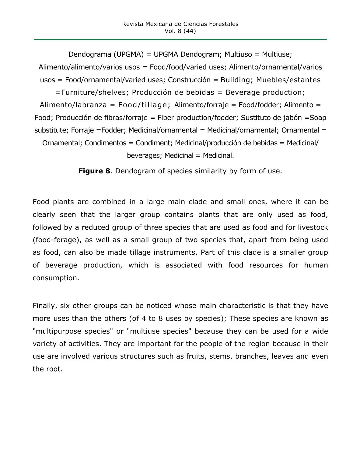Dendograma (UPGMA) = UPGMA Dendogram; Multiuso = Multiuse; Alimento/alimento/varios usos = Food/food/varied uses; Alimento/ornamental/varios usos = Food/ornamental/varied uses; Construcción = Building; Muebles/estantes =Furniture/shelves; Producción de bebidas = Beverage production; Alimento/labranza = Food/tillage; Alimento/forraje = Food/fodder; Alimento = Food; Producción de fibras/forraje = Fiber production/fodder; Sustituto de jabón =Soap substitute; Forraje =Fodder; Medicinal/ornamental = Medicinal/ornamental; Ornamental = Ornamental; Condimentos = Condiment; Medicinal/producción de bebidas = Medicinal/ beverages; Medicinal = Medicinal.

**Figure 8**. Dendogram of species similarity by form of use.

Food plants are combined in a large main clade and small ones, where it can be clearly seen that the larger group contains plants that are only used as food, followed by a reduced group of three species that are used as food and for livestock (food-forage), as well as a small group of two species that, apart from being used as food, can also be made tillage instruments. Part of this clade is a smaller group of beverage production, which is associated with food resources for human consumption.

Finally, six other groups can be noticed whose main characteristic is that they have more uses than the others (of 4 to 8 uses by species); These species are known as "multipurpose species" or "multiuse species" because they can be used for a wide variety of activities. They are important for the people of the region because in their use are involved various structures such as fruits, stems, branches, leaves and even the root.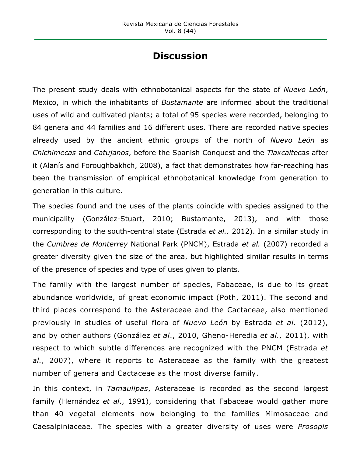## **Discussion**

The present study deals with ethnobotanical aspects for the state of *Nuevo León*, Mexico, in which the inhabitants of *Bustamante* are informed about the traditional uses of wild and cultivated plants; a total of 95 species were recorded, belonging to 84 genera and 44 families and 16 different uses. There are recorded native species already used by the ancient ethnic groups of the north of *Nuevo León* as *Chichimecas* and *Catujanos*, before the Spanish Conquest and the *Tlaxcaltecas* after it (Alanís and Foroughbakhch, 2008), a fact that demonstrates how far-reaching has been the transmission of empirical ethnobotanical knowledge from generation to generation in this culture.

The species found and the uses of the plants coincide with species assigned to the municipality (González-Stuart, 2010; Bustamante, 2013), and with those corresponding to the south-central state (Estrada *et al.,* 2012). In a similar study in the *Cumbres de Monterrey* National Park (PNCM), Estrada *et al.* (2007) recorded a greater diversity given the size of the area, but highlighted similar results in terms of the presence of species and type of uses given to plants.

The family with the largest number of species, Fabaceae, is due to its great abundance worldwide, of great economic impact (Poth, 2011). The second and third places correspond to the Asteraceae and the Cactaceae, also mentioned previously in studies of useful flora of *Nuevo León* by Estrada *et al.* (2012), and by other authors (González *et al*., 2010, Gheno-Heredia *et al.,* 2011), with respect to which subtle differences are recognized with the PNCM (Estrada *et al.,* 2007), where it reports to Asteraceae as the family with the greatest number of genera and Cactaceae as the most diverse family.

In this context, in *Tamaulipas*, Asteraceae is recorded as the second largest family (Hernández *et al*., 1991), considering that Fabaceae would gather more than 40 vegetal elements now belonging to the families Mimosaceae and Caesalpiniaceae. The species with a greater diversity of uses were *Prosopis*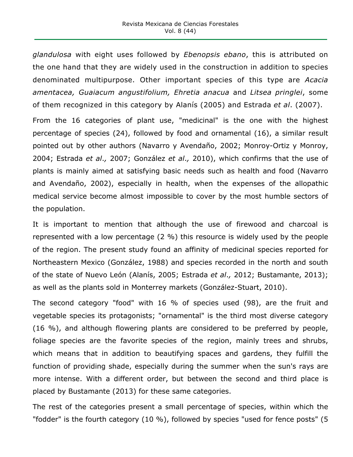*glandulosa* with eight uses followed by *Ebenopsis ebano*, this is attributed on the one hand that they are widely used in the construction in addition to species denominated multipurpose. Other important species of this type are *Acacia amentacea, Guaiacum angustifolium, Ehretia anacua* and *Litsea pringlei*, some of them recognized in this category by Alanís (2005) and Estrada *et al*. (2007).

From the 16 categories of plant use, "medicinal" is the one with the highest percentage of species (24), followed by food and ornamental (16), a similar result pointed out by other authors (Navarro y Avendaño, 2002; Monroy-Ortiz y Monroy, 2004; Estrada *et al*.*,* 2007; González *et al*.*,* 2010), which confirms that the use of plants is mainly aimed at satisfying basic needs such as health and food (Navarro and Avendaño, 2002), especially in health, when the expenses of the allopathic medical service become almost impossible to cover by the most humble sectors of the population.

It is important to mention that although the use of firewood and charcoal is represented with a low percentage (2 %) this resource is widely used by the people of the region. The present study found an affinity of medicinal species reported for Northeastern Mexico (González, 1988) and species recorded in the north and south of the state of Nuevo León (Alanís, 2005; Estrada *et al*.*,* 2012; Bustamante, 2013); as well as the plants sold in Monterrey markets (González-Stuart, 2010).

The second category "food" with 16 % of species used (98), are the fruit and vegetable species its protagonists; "ornamental" is the third most diverse category (16 %), and although flowering plants are considered to be preferred by people, foliage species are the favorite species of the region, mainly trees and shrubs, which means that in addition to beautifying spaces and gardens, they fulfill the function of providing shade, especially during the summer when the sun's rays are more intense. With a different order, but between the second and third place is placed by Bustamante (2013) for these same categories.

The rest of the categories present a small percentage of species, within which the "fodder" is the fourth category (10 %), followed by species "used for fence posts" (5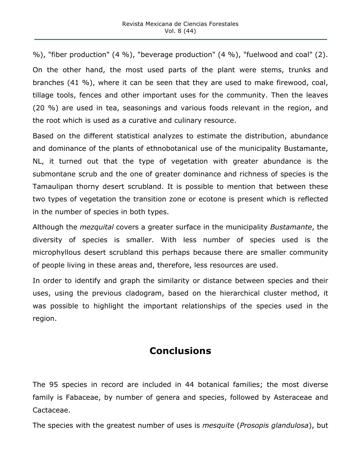%), "fiber production" (4 %), "beverage production" (4 %), "fuelwood and coal" (2). On the other hand, the most used parts of the plant were stems, trunks and branches (41 %), where it can be seen that they are used to make firewood, coal, tillage tools, fences and other important uses for the community. Then the leaves (20 %) are used in tea, seasonings and various foods relevant in the region, and the root which is used as a curative and culinary resource.

Based on the different statistical analyzes to estimate the distribution, abundance and dominance of the plants of ethnobotanical use of the municipality Bustamante, NL, it turned out that the type of vegetation with greater abundance is the submontane scrub and the one of greater dominance and richness of species is the Tamaulipan thorny desert scrubland. It is possible to mention that between these two types of vegetation the transition zone or ecotone is present which is reflected in the number of species in both types.

Although the *mezquital* covers a greater surface in the municipality *Bustamante*, the diversity of species is smaller. With less number of species used is the microphyllous desert scrubland this perhaps because there are smaller community of people living in these areas and, therefore, less resources are used.

In order to identify and graph the similarity or distance between species and their uses, using the previous cladogram, based on the hierarchical cluster method, it was possible to highlight the important relationships of the species used in the region.

# **Conclusions**

The 95 species in record are included in 44 botanical families; the most diverse family is Fabaceae, by number of genera and species, followed by Asteraceae and Cactaceae.

The species with the greatest number of uses is *mesquite* (*Prosopis glandulosa*), but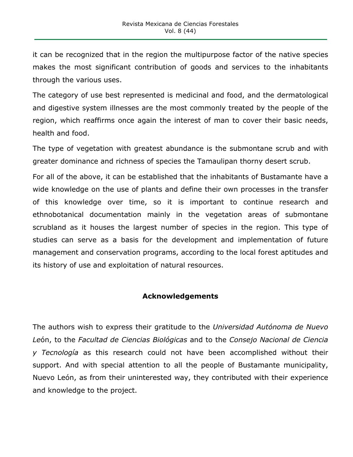it can be recognized that in the region the multipurpose factor of the native species makes the most significant contribution of goods and services to the inhabitants through the various uses.

The category of use best represented is medicinal and food, and the dermatological and digestive system illnesses are the most commonly treated by the people of the region, which reaffirms once again the interest of man to cover their basic needs, health and food.

The type of vegetation with greatest abundance is the submontane scrub and with greater dominance and richness of species the Tamaulipan thorny desert scrub.

For all of the above, it can be established that the inhabitants of Bustamante have a wide knowledge on the use of plants and define their own processes in the transfer of this knowledge over time, so it is important to continue research and ethnobotanical documentation mainly in the vegetation areas of submontane scrubland as it houses the largest number of species in the region. This type of studies can serve as a basis for the development and implementation of future management and conservation programs, according to the local forest aptitudes and its history of use and exploitation of natural resources.

#### **Acknowledgements**

The authors wish to express their gratitude to the *Universidad Autónoma de Nuevo Le*ón, to the *Facultad de Ciencias Biológicas* and to the *Consejo Nacional de Ciencia y Tecnología* as this research could not have been accomplished without their support. And with special attention to all the people of Bustamante municipality, Nuevo León, as from their uninterested way, they contributed with their experience and knowledge to the project.